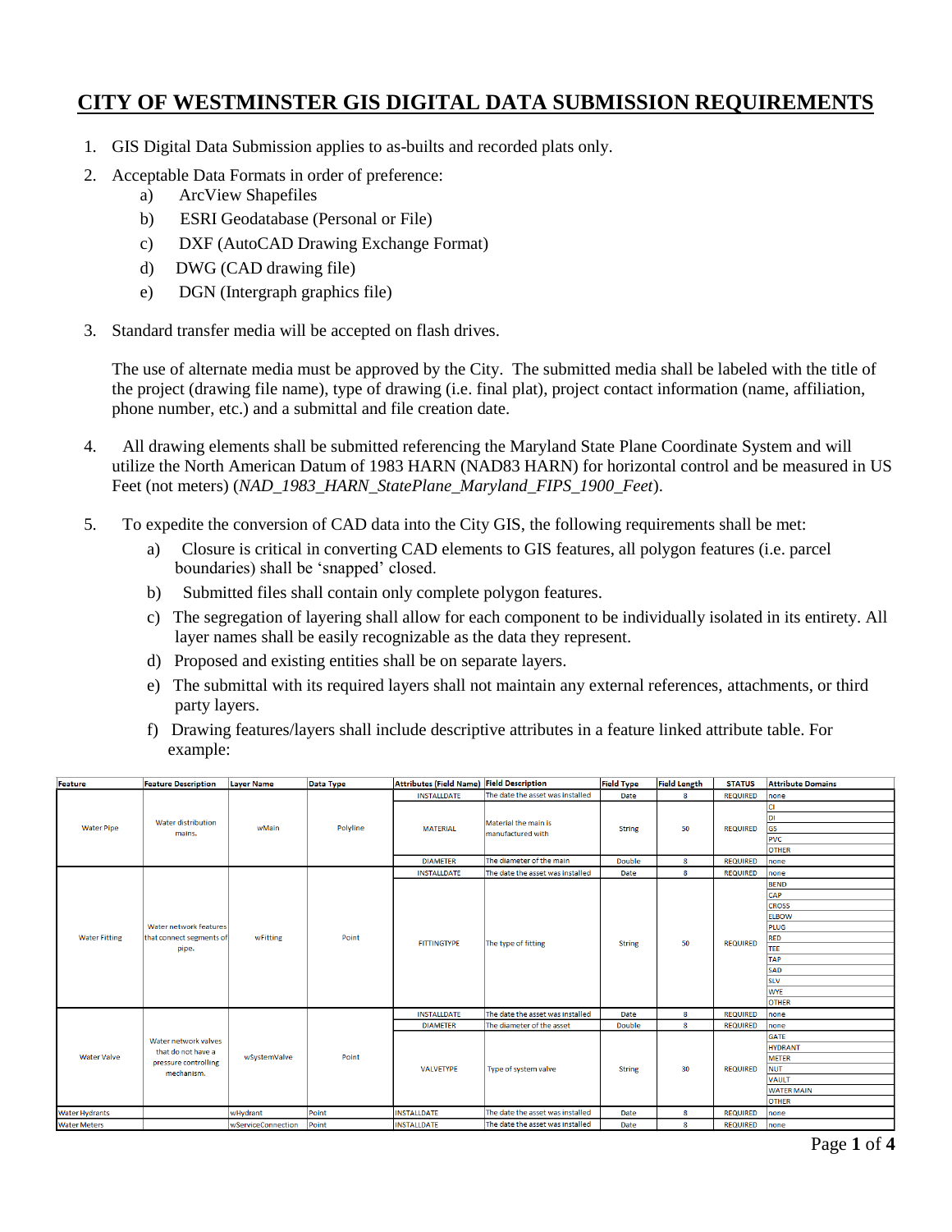# **CITY OF WESTMINSTER GIS DIGITAL DATA SUBMISSION REQUIREMENTS**

- 1. GIS Digital Data Submission applies to as-builts and recorded plats only.
- 2. Acceptable Data Formats in order of preference:
	- a) ArcView Shapefiles
		- b) ESRI Geodatabase (Personal or File)
		- c) DXF (AutoCAD Drawing Exchange Format)
		- d) DWG (CAD drawing file)
		- e) DGN (Intergraph graphics file)
- 3. Standard transfer media will be accepted on flash drives.

The use of alternate media must be approved by the City. The submitted media shall be labeled with the title of the project (drawing file name), type of drawing (i.e. final plat), project contact information (name, affiliation, phone number, etc.) and a submittal and file creation date.

- 4. All drawing elements shall be submitted referencing the Maryland State Plane Coordinate System and will utilize the North American Datum of 1983 HARN (NAD83 HARN) for horizontal control and be measured in US Feet (not meters) (*NAD\_1983\_HARN\_StatePlane\_Maryland\_FIPS\_1900\_Feet*).
- 5. To expedite the conversion of CAD data into the City GIS, the following requirements shall be met:
	- a) Closure is critical in converting CAD elements to GIS features, all polygon features (i.e. parcel boundaries) shall be 'snapped' closed.
	- b) Submitted files shall contain only complete polygon features.
	- c) The segregation of layering shall allow for each component to be individually isolated in its entirety. All layer names shall be easily recognizable as the data they represent.
	- d) Proposed and existing entities shall be on separate layers.
	- e) The submittal with its required layers shall not maintain any external references, attachments, or third party layers.
	- f) Drawing features/layers shall include descriptive attributes in a feature linked attribute table. For example:

| Feature               | <b>Feature Description</b>                                                       | <b>Layer Name</b>  | <b>Data Type</b> | Attributes (Field Name) Field Description |                                           | <b>Field Type</b> | <b>Field Length</b> | <b>STATUS</b>   | <b>Attribute Domains</b> |
|-----------------------|----------------------------------------------------------------------------------|--------------------|------------------|-------------------------------------------|-------------------------------------------|-------------------|---------------------|-----------------|--------------------------|
|                       | Water distribution<br>mains.                                                     | wMain              | Polyline         | <b>INSTALLDATE</b>                        | The date the asset was installed          | Date              | 8                   | <b>REQUIRED</b> | none                     |
|                       |                                                                                  |                    |                  | <b>MATERIAL</b>                           | Material the main is<br>manufactured with | <b>String</b>     | 50                  | <b>REQUIRED</b> |                          |
|                       |                                                                                  |                    |                  |                                           |                                           |                   |                     |                 | DI                       |
| <b>Water Pipe</b>     |                                                                                  |                    |                  |                                           |                                           |                   |                     |                 | GS                       |
|                       |                                                                                  |                    |                  |                                           |                                           |                   |                     |                 | <b>PVC</b>               |
|                       |                                                                                  |                    |                  |                                           |                                           |                   |                     |                 | <b>OTHER</b>             |
|                       |                                                                                  |                    |                  | <b>DIAMETER</b>                           | The diameter of the main                  | <b>Double</b>     | 8                   | <b>REQUIRED</b> | none                     |
|                       |                                                                                  |                    | Point            | <b>INSTALLDATE</b>                        | The date the asset was installed          | Date              | 8                   | <b>REQUIRED</b> | none                     |
|                       |                                                                                  |                    |                  | <b>FITTINGTYPE</b>                        |                                           | <b>String</b>     | 50                  | <b>REQUIRED</b> | <b>BEND</b>              |
|                       |                                                                                  |                    |                  |                                           |                                           |                   |                     |                 | CAP                      |
|                       |                                                                                  |                    |                  |                                           |                                           |                   |                     |                 | <b>CROSS</b>             |
|                       |                                                                                  |                    |                  |                                           |                                           |                   |                     |                 | <b>ELBOW</b>             |
|                       | Water network features                                                           |                    |                  |                                           |                                           |                   |                     |                 | <b>PLUG</b>              |
| <b>Water Fitting</b>  | that connect segments of                                                         | wFitting           |                  |                                           | The type of fitting                       |                   |                     |                 | <b>RED</b>               |
|                       | pipe.                                                                            |                    |                  |                                           |                                           |                   |                     |                 | TEE                      |
|                       |                                                                                  |                    |                  |                                           |                                           |                   |                     |                 | <b>TAP</b>               |
|                       |                                                                                  |                    |                  |                                           |                                           |                   |                     |                 | <b>SAD</b>               |
|                       |                                                                                  |                    |                  |                                           |                                           |                   |                     |                 | <b>SLV</b>               |
|                       |                                                                                  |                    |                  |                                           |                                           |                   |                     |                 | <b>WYE</b>               |
|                       |                                                                                  |                    |                  |                                           |                                           |                   |                     |                 | <b>OTHER</b>             |
| <b>Water Valve</b>    | Water network valves<br>that do not have a<br>pressure controlling<br>mechanism. | wSystemValve       | Point            | <b>INSTALLDATE</b>                        | The date the asset was installed          | Date              | 8                   | <b>REQUIRED</b> | none                     |
|                       |                                                                                  |                    |                  | <b>DIAMETER</b>                           | The diameter of the asset                 | Double            | 8                   | <b>REQUIRED</b> | none                     |
|                       |                                                                                  |                    |                  | <b>VALVETYPE</b>                          | Type of system valve                      | <b>String</b>     | 30                  | <b>REQUIRED</b> | <b>GATE</b>              |
|                       |                                                                                  |                    |                  |                                           |                                           |                   |                     |                 | <b>HYDRANT</b>           |
|                       |                                                                                  |                    |                  |                                           |                                           |                   |                     |                 | <b>METER</b>             |
|                       |                                                                                  |                    |                  |                                           |                                           |                   |                     |                 | <b>NUT</b>               |
|                       |                                                                                  |                    |                  |                                           |                                           |                   |                     |                 | <b>VAULT</b>             |
|                       |                                                                                  |                    |                  |                                           |                                           |                   |                     |                 | <b>WATER MAIN</b>        |
|                       |                                                                                  |                    |                  |                                           |                                           |                   |                     |                 | <b>OTHER</b>             |
| <b>Water Hydrants</b> |                                                                                  | wHydrant           | Point            | <b>INSTALLDATE</b>                        | The date the asset was installed          | Date              | 8                   | <b>REQUIRED</b> | none                     |
| <b>Water Meters</b>   |                                                                                  | wServiceConnection | Point            | <b>INSTALLDATE</b>                        | The date the asset was installed          | Date              | 8                   | <b>REQUIRED</b> | none                     |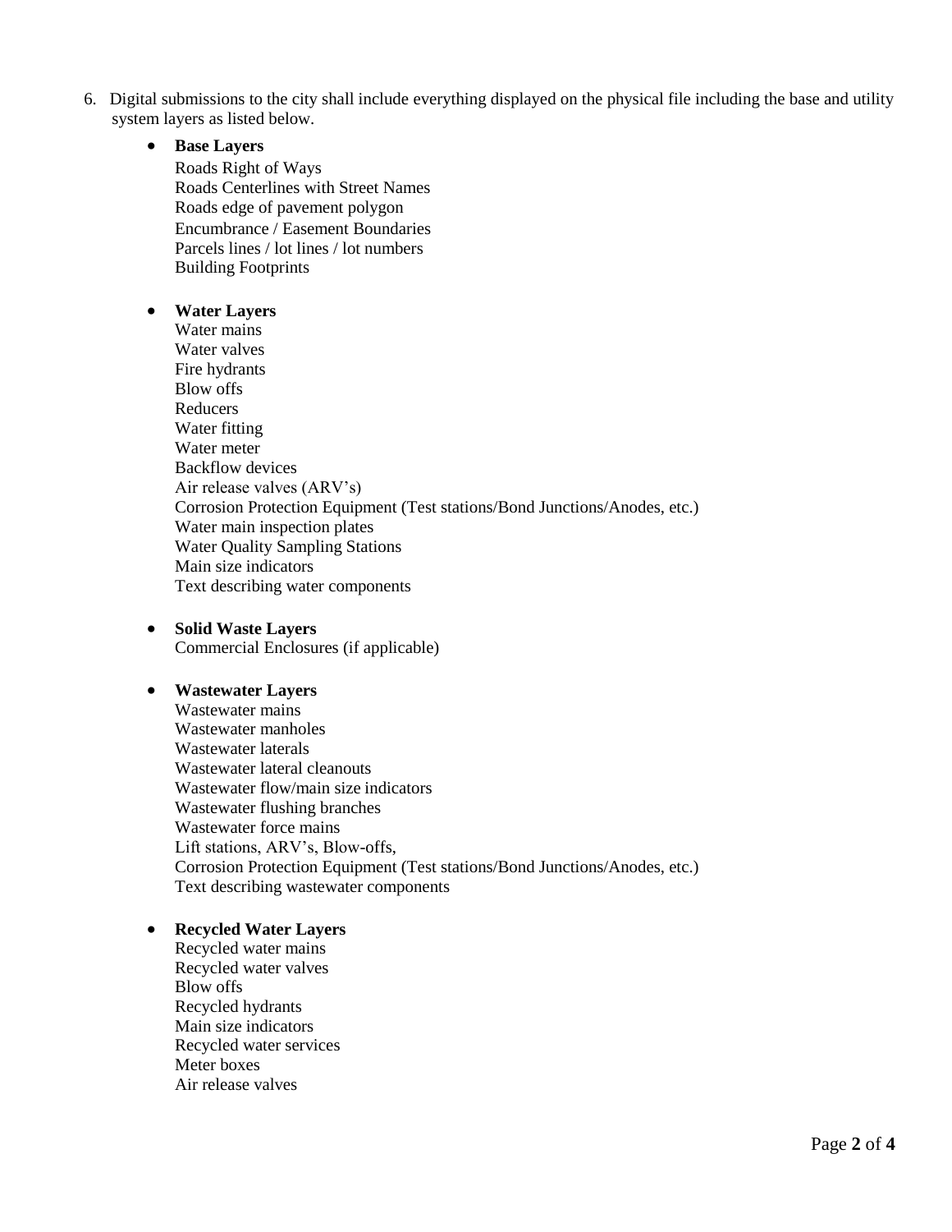6. Digital submissions to the city shall include everything displayed on the physical file including the base and utility system layers as listed below.

# **Base Layers**

Roads Right of Ways Roads Centerlines with Street Names Roads edge of pavement polygon Encumbrance / Easement Boundaries Parcels lines / lot lines / lot numbers Building Footprints

# **Water Layers**

Water mains Water valves Fire hydrants Blow offs Reducers Water fitting Water meter Backflow devices Air release valves (ARV's) Corrosion Protection Equipment (Test stations/Bond Junctions/Anodes, etc.) Water main inspection plates Water Quality Sampling Stations Main size indicators Text describing water components

#### **Solid Waste Layers**  Commercial Enclosures (if applicable)

# **Wastewater Layers**

Wastewater mains Wastewater manholes Wastewater laterals Wastewater lateral cleanouts Wastewater flow/main size indicators Wastewater flushing branches Wastewater force mains Lift stations, ARV's, Blow-offs, Corrosion Protection Equipment (Test stations/Bond Junctions/Anodes, etc.) Text describing wastewater components

# **Recycled Water Layers**

Recycled water mains Recycled water valves Blow offs Recycled hydrants Main size indicators Recycled water services Meter boxes Air release valves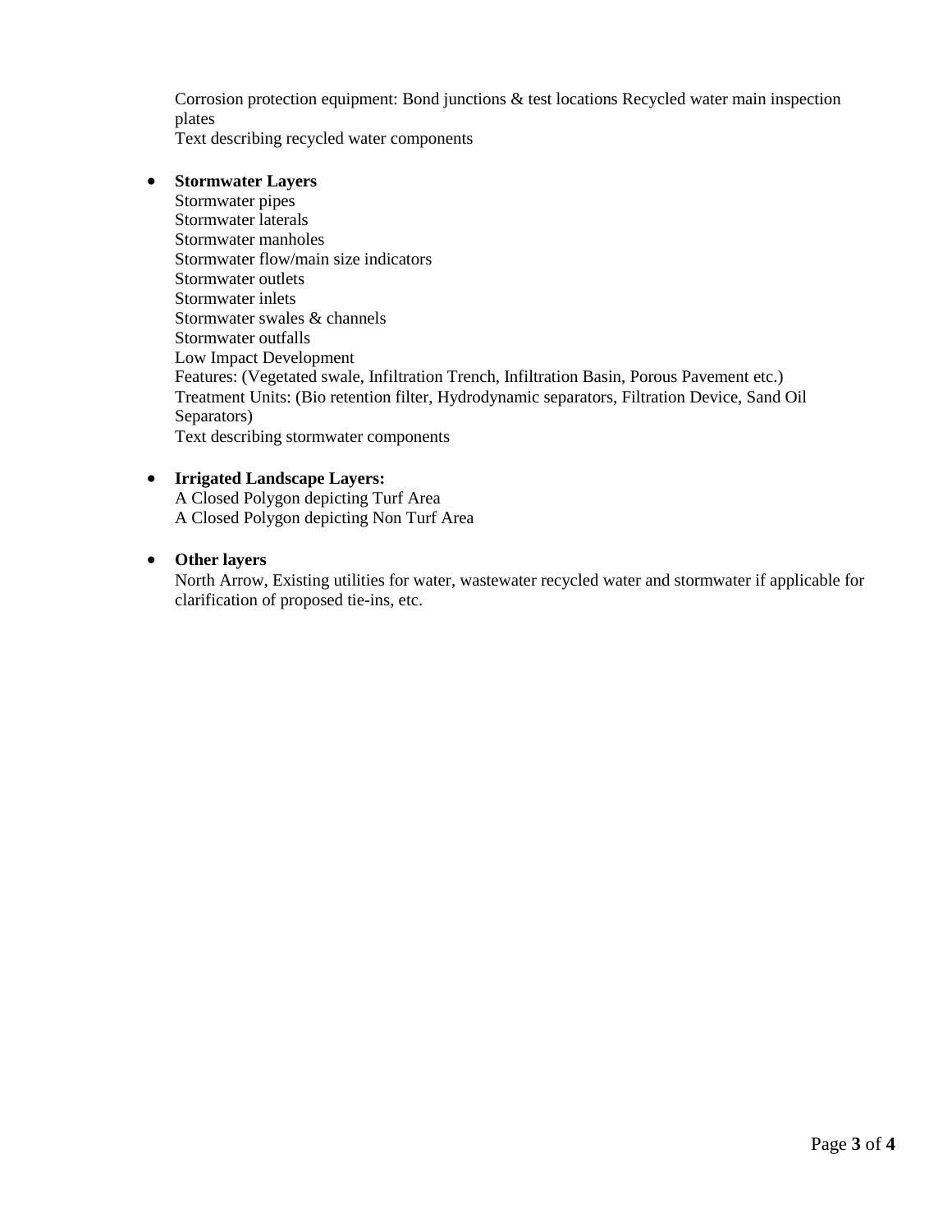Corrosion protection equipment: Bond junctions & test locations Recycled water main inspection plates

Text describing recycled water components

# **Stormwater Layers**

Stormwater pipes Stormwater laterals Stormwater manholes Stormwater flow/main size indicators Stormwater outlets Stormwater inlets Stormwater swales & channels Stormwater outfalls Low Impact Development Features: (Vegetated swale, Infiltration Trench, Infiltration Basin, Porous Pavement etc.) Treatment Units: (Bio retention filter, Hydrodynamic separators, Filtration Device, Sand Oil Separators) Text describing stormwater components

# **Irrigated Landscape Layers:**

A Closed Polygon depicting Turf Area A Closed Polygon depicting Non Turf Area

# **Other layers**

North Arrow, Existing utilities for water, wastewater recycled water and stormwater if applicable for clarification of proposed tie-ins, etc.